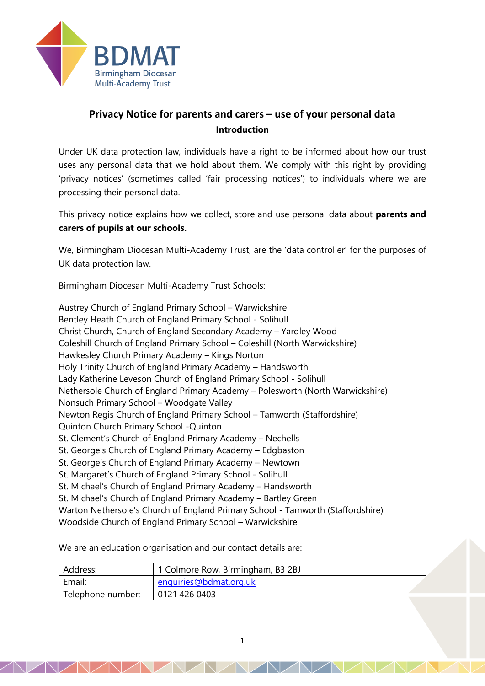

# **Privacy Notice for parents and carers – use of your personal data Introduction**

Under UK data protection law, individuals have a right to be informed about how our trust uses any personal data that we hold about them. We comply with this right by providing 'privacy notices' (sometimes called 'fair processing notices') to individuals where we are processing their personal data.

This privacy notice explains how we collect, store and use personal data about **parents and carers of pupils at our schools.**

We, Birmingham Diocesan Multi-Academy Trust, are the 'data controller' for the purposes of UK data protection law.

Birmingham Diocesan Multi-Academy Trust Schools:

Austrey Church of England Primary School – Warwickshire Bentley Heath Church of England Primary School - Solihull Christ Church, Church of England Secondary Academy – Yardley Wood Coleshill Church of England Primary School – Coleshill (North Warwickshire) Hawkesley Church Primary Academy – Kings Norton Holy Trinity Church of England Primary Academy – Handsworth Lady Katherine Leveson Church of England Primary School - Solihull Nethersole Church of England Primary Academy – Polesworth (North Warwickshire) Nonsuch Primary School – Woodgate Valley Newton Regis Church of England Primary School – Tamworth (Staffordshire) Quinton Church Primary School -Quinton St. Clement's Church of England Primary Academy – Nechells St. George's Church of England Primary Academy – Edgbaston St. George's Church of England Primary Academy – Newtown St. Margaret's Church of England Primary School - Solihull St. Michael's Church of England Primary Academy – Handsworth St. Michael's Church of England Primary Academy – Bartley Green Warton Nethersole's Church of England Primary School - Tamworth (Staffordshire) Woodside Church of England Primary School – Warwickshire

We are an education organisation and our contact details are:

| Address:          | 1 Colmore Row, Birmingham, B3 2BJ |
|-------------------|-----------------------------------|
| Email:            | enquiries@bdmat.org.uk            |
| Telephone number: | 0121 426 0403                     |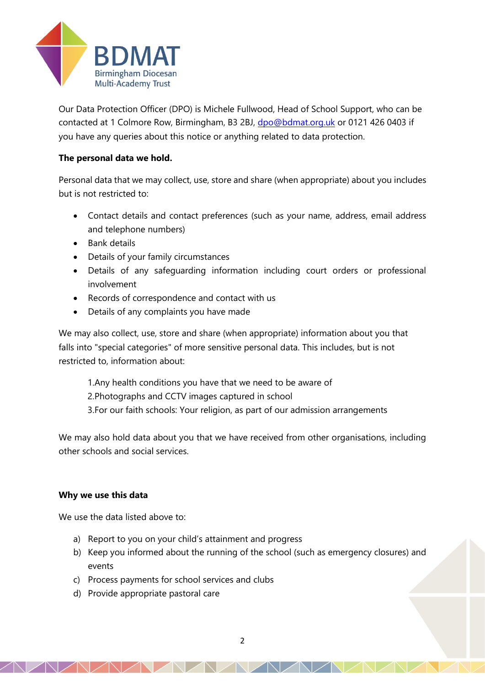

Our Data Protection Officer (DPO) is Michele Fullwood, Head of School Support, who can be contacted at 1 Colmore Row, Birmingham, B3 2BJ, [dpo@bdmat.org.uk](mailto:dpo@bdmat.org.uk) or 0121 426 0403 if you have any queries about this notice or anything related to data protection.

## **The personal data we hold.**

Personal data that we may collect, use, store and share (when appropriate) about you includes but is not restricted to:

- Contact details and contact preferences (such as your name, address, email address and telephone numbers)
- Bank details
- Details of your family circumstances
- Details of any safeguarding information including court orders or professional involvement
- Records of correspondence and contact with us
- Details of any complaints you have made

We may also collect, use, store and share (when appropriate) information about you that falls into "special categories" of more sensitive personal data. This includes, but is not restricted to, information about:

- 1.Any health conditions you have that we need to be aware of
- 2.Photographs and CCTV images captured in school
- 3.For our faith schools: Your religion, as part of our admission arrangements

We may also hold data about you that we have received from other organisations, including other schools and social services.

## **Why we use this data**

We use the data listed above to:

- a) Report to you on your child's attainment and progress
- b) Keep you informed about the running of the school (such as emergency closures) and events
- c) Process payments for school services and clubs
- d) Provide appropriate pastoral care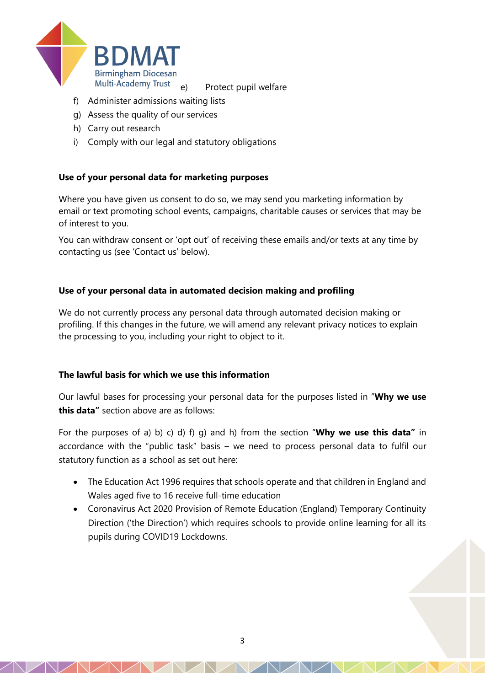

e) Protect pupil welfare

- f) Administer admissions waiting lists
- g) Assess the quality of our services
- h) Carry out research
- i) Comply with our legal and statutory obligations

#### **Use of your personal data for marketing purposes**

Where you have given us consent to do so, we may send you marketing information by email or text promoting school events, campaigns, charitable causes or services that may be of interest to you.

You can withdraw consent or 'opt out' of receiving these emails and/or texts at any time by contacting us (see 'Contact us' below).

#### **Use of your personal data in automated decision making and profiling**

We do not currently process any personal data through automated decision making or profiling. If this changes in the future, we will amend any relevant privacy notices to explain the processing to you, including your right to object to it.

#### **The lawful basis for which we use this information**

Our lawful bases for processing your personal data for the purposes listed in "**Why we use this data"** section above are as follows:

For the purposes of a) b) c) d) f) g) and h) from the section "**Why we use this data"** in accordance with the "public task" basis – we need to process personal data to fulfil our statutory function as a school as set out here:

- The Education Act 1996 requires that schools operate and that children in England and Wales aged five to 16 receive full-time education
- Coronavirus Act 2020 Provision of Remote Education (England) Temporary Continuity Direction ('the Direction') which requires schools to provide online learning for all its pupils during COVID19 Lockdowns.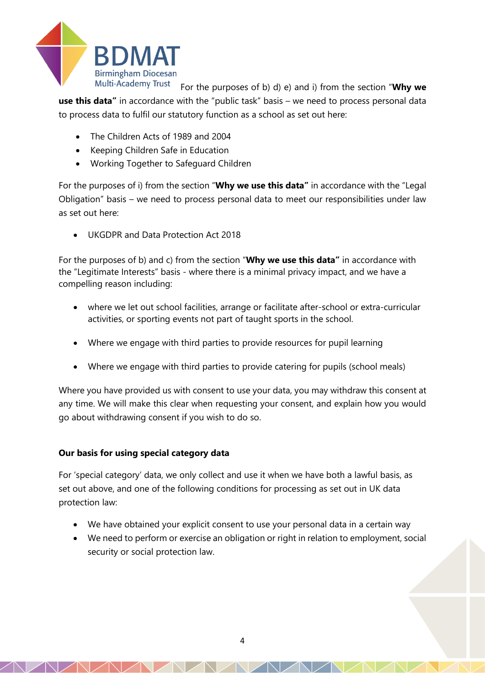

For the purposes of b) d) e) and i) from the section "**Why we use this data"** in accordance with the "public task" basis – we need to process personal data to process data to fulfil our statutory function as a school as set out here:

- The Children Acts of 1989 and 2004
- Keeping Children Safe in Education
- Working Together to Safeguard Children

For the purposes of i) from the section "**Why we use this data"** in accordance with the "Legal Obligation" basis – we need to process personal data to meet our responsibilities under law as set out here:

UKGDPR and Data Protection Act 2018

For the purposes of b) and c) from the section "**Why we use this data"** in accordance with the "Legitimate Interests" basis - where there is a minimal privacy impact, and we have a compelling reason including:

- where we let out school facilities, arrange or facilitate after-school or extra-curricular activities, or sporting events not part of taught sports in the school.
- Where we engage with third parties to provide resources for pupil learning
- Where we engage with third parties to provide catering for pupils (school meals)

Where you have provided us with consent to use your data, you may withdraw this consent at any time. We will make this clear when requesting your consent, and explain how you would go about withdrawing consent if you wish to do so.

## **Our basis for using special category data**

For 'special category' data, we only collect and use it when we have both a lawful basis, as set out above, and one of the following conditions for processing as set out in UK data protection law:

- We have obtained your explicit consent to use your personal data in a certain way
- We need to perform or exercise an obligation or right in relation to employment, social security or social protection law.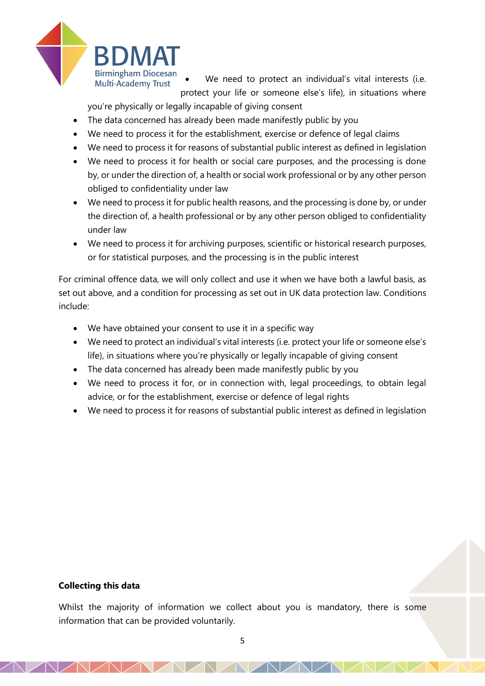

We need to protect an individual's vital interests (i.e. protect your life or someone else's life), in situations where

you're physically or legally incapable of giving consent

- The data concerned has already been made manifestly public by you
- We need to process it for the establishment, exercise or defence of legal claims
- We need to process it for reasons of substantial public interest as defined in legislation
- We need to process it for health or social care purposes, and the processing is done by, or under the direction of, a health or social work professional or by any other person obliged to confidentiality under law
- We need to process it for public health reasons, and the processing is done by, or under the direction of, a health professional or by any other person obliged to confidentiality under law
- We need to process it for archiving purposes, scientific or historical research purposes, or for statistical purposes, and the processing is in the public interest

For criminal offence data, we will only collect and use it when we have both a lawful basis, as set out above, and a condition for processing as set out in UK data protection law. Conditions include:

- We have obtained your consent to use it in a specific way
- We need to protect an individual's vital interests (i.e. protect your life or someone else's life), in situations where you're physically or legally incapable of giving consent
- The data concerned has already been made manifestly public by you
- We need to process it for, or in connection with, legal proceedings, to obtain legal advice, or for the establishment, exercise or defence of legal rights
- We need to process it for reasons of substantial public interest as defined in legislation

#### **Collecting this data**

Whilst the majority of information we collect about you is mandatory, there is some information that can be provided voluntarily.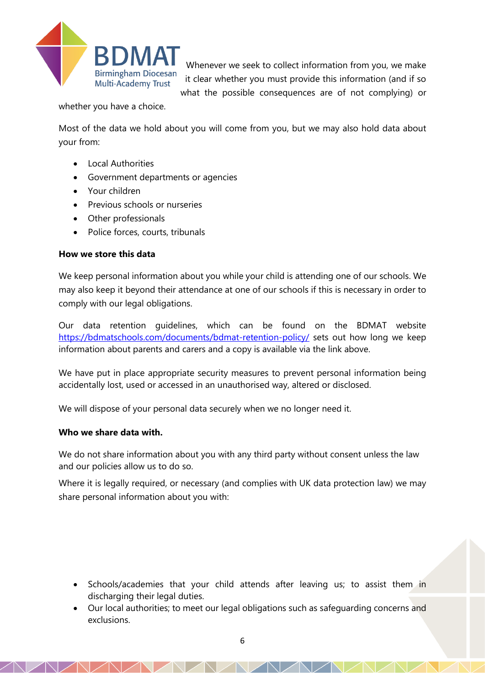

Whenever we seek to collect information from you, we make it clear whether you must provide this information (and if so what the possible consequences are of not complying) or

whether you have a choice.

Most of the data we hold about you will come from you, but we may also hold data about your from:

- Local Authorities
- Government departments or agencies
- Your children
- Previous schools or nurseries
- Other professionals
- Police forces, courts, tribunals

#### **How we store this data**

We keep personal information about you while your child is attending one of our schools. We may also keep it beyond their attendance at one of our schools if this is necessary in order to comply with our legal obligations.

Our data retention guidelines, which can be found on the BDMAT website <https://bdmatschools.com/documents/bdmat-retention-policy/> sets out how long we keep information about parents and carers and a copy is available via the link above.

We have put in place appropriate security measures to prevent personal information being accidentally lost, used or accessed in an unauthorised way, altered or disclosed.

We will dispose of your personal data securely when we no longer need it.

#### **Who we share data with.**

We do not share information about you with any third party without consent unless the law and our policies allow us to do so.

Where it is legally required, or necessary (and complies with UK data protection law) we may share personal information about you with:

- Schools/academies that your child attends after leaving us; to assist them in discharging their legal duties.
- Our local authorities; to meet our legal obligations such as safeguarding concerns and exclusions.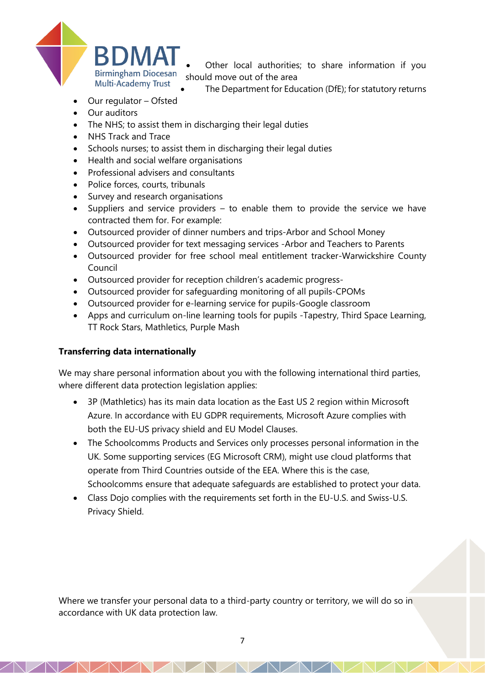

Other local authorities; to share information if you should move out of the area

- The Department for Education (DfE); for statutory returns
- Our regulator Ofsted
- Our auditors
- The NHS; to assist them in discharging their legal duties
- NHS Track and Trace
- Schools nurses; to assist them in discharging their legal duties
- Health and social welfare organisations
- Professional advisers and consultants
- Police forces, courts, tribunals
- Survey and research organisations
- Suppliers and service providers to enable them to provide the service we have contracted them for. For example:
- Outsourced provider of dinner numbers and trips-Arbor and School Money
- Outsourced provider for text messaging services -Arbor and Teachers to Parents
- Outsourced provider for free school meal entitlement tracker-Warwickshire County Council
- Outsourced provider for reception children's academic progress-
- Outsourced provider for safeguarding monitoring of all pupils-CPOMs
- Outsourced provider for e-learning service for pupils-Google classroom
- Apps and curriculum on-line learning tools for pupils -Tapestry, Third Space Learning, TT Rock Stars, Mathletics, Purple Mash

## **Transferring data internationally**

We may share personal information about you with the following international third parties, where different data protection legislation applies:

- 3P (Mathletics) has its main data location as the East US 2 region within Microsoft Azure. In accordance with EU GDPR requirements, Microsoft Azure complies with both the EU-US privacy shield and EU Model Clauses.
- The Schoolcomms Products and Services only processes personal information in the UK. Some supporting services (EG Microsoft CRM), might use cloud platforms that operate from Third Countries outside of the EEA. Where this is the case, Schoolcomms ensure that adequate safeguards are established to protect your data.
- Class Dojo complies with the requirements set forth in the EU-U.S. and Swiss-U.S. Privacy Shield.

Where we transfer your personal data to a third-party country or territory, we will do so in accordance with UK data protection law.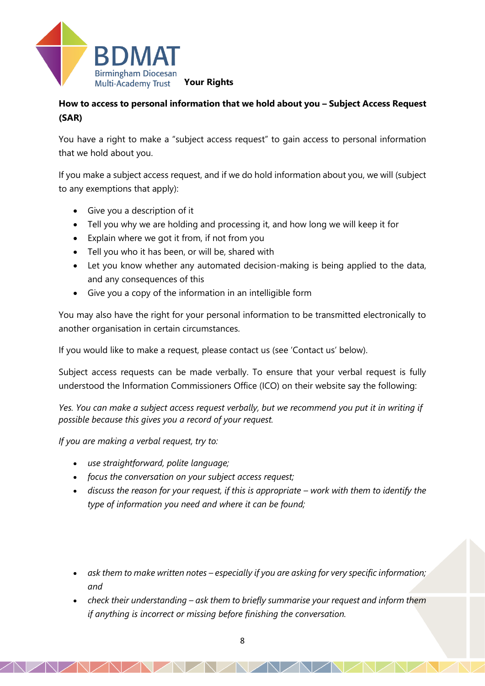

## **How to access to personal information that we hold about you – Subject Access Request (SAR)**

You have a right to make a "subject access request" to gain access to personal information that we hold about you.

If you make a subject access request, and if we do hold information about you, we will (subject to any exemptions that apply):

- Give you a description of it
- Tell you why we are holding and processing it, and how long we will keep it for
- Explain where we got it from, if not from you
- Tell you who it has been, or will be, shared with
- Let you know whether any automated decision-making is being applied to the data, and any consequences of this
- Give you a copy of the information in an intelligible form

You may also have the right for your personal information to be transmitted electronically to another organisation in certain circumstances.

If you would like to make a request, please contact us (see 'Contact us' below).

Subject access requests can be made verbally. To ensure that your verbal request is fully understood the Information Commissioners Office (ICO) on their website say the following:

*Yes. You can make a subject access request verbally, but we recommend you put it in writing if possible because this gives you a record of your request.*

*If you are making a verbal request, try to:*

- *use straightforward, polite language;*
- *focus the conversation on your subject access request;*
- discuss the reason for your request, if this is appropriate work with them to identify the *type of information you need and where it can be found;*
- *ask them to make written notes – especially if you are asking for very specific information; and*
- *check their understanding ask them to briefly summarise your request and inform them if anything is incorrect or missing before finishing the conversation.*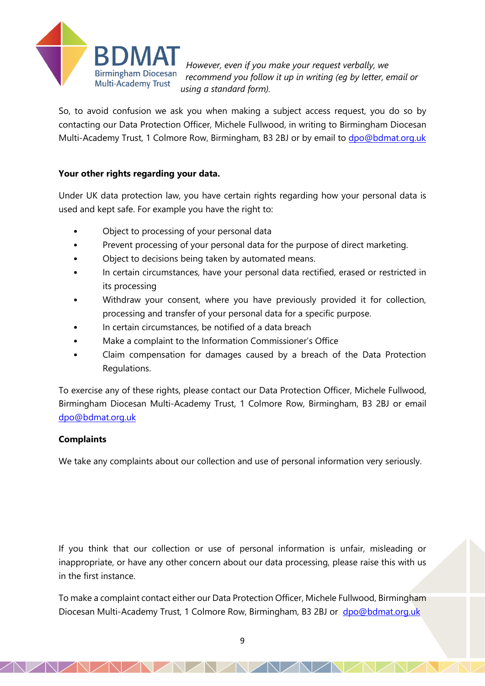

*However, even if you make your request verbally, we recommend you follow it up in writing (eg by letter, email or using a standard form).*

So, to avoid confusion we ask you when making a subject access request, you do so by contacting our Data Protection Officer, Michele Fullwood, in writing to Birmingham Diocesan Multi-Academy Trust, 1 Colmore Row, Birmingham, B3 2BJ or by email to [dpo@bdmat.org.uk](mailto:dpo@bdmat.org.uk)

## **Your other rights regarding your data.**

Under UK data protection law, you have certain rights regarding how your personal data is used and kept safe. For example you have the right to:

- Object to processing of your personal data
- Prevent processing of your personal data for the purpose of direct marketing.
- Object to decisions being taken by automated means.
- In certain circumstances, have your personal data rectified, erased or restricted in its processing
- Withdraw your consent, where you have previously provided it for collection, processing and transfer of your personal data for a specific purpose.
- In certain circumstances, be notified of a data breach
- Make a complaint to the Information Commissioner's Office
- Claim compensation for damages caused by a breach of the Data Protection Regulations.

To exercise any of these rights, please contact our Data Protection Officer, Michele Fullwood, Birmingham Diocesan Multi-Academy Trust, 1 Colmore Row, Birmingham, B3 2BJ or email [dpo@bdmat.org.uk](mailto:dpo@bdmat.org.uk)

## **Complaints**

We take any complaints about our collection and use of personal information very seriously.

If you think that our collection or use of personal information is unfair, misleading or inappropriate, or have any other concern about our data processing, please raise this with us in the first instance.

To make a complaint contact either our Data Protection Officer, Michele Fullwood, Birmingham Diocesan Multi-Academy Trust, 1 Colmore Row, Birmingham, B3 2BJ or [dpo@bdmat.org.uk](mailto:dpo@bdmat.org.uk)